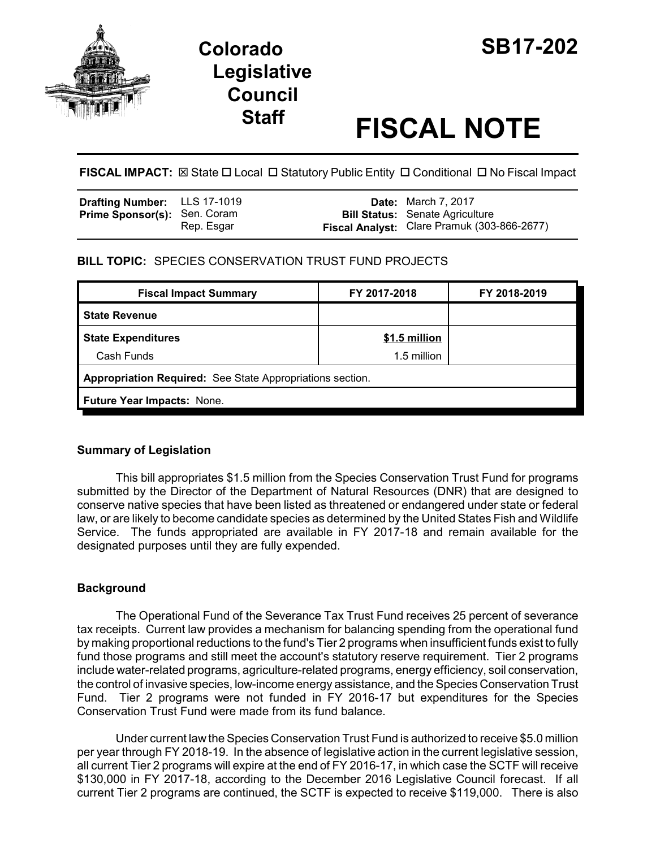

# **Legislative Council**

# **Staff FISCAL NOTE**

**FISCAL IMPACT:**  $\boxtimes$  State  $\Box$  Local  $\Box$  Statutory Public Entity  $\Box$  Conditional  $\Box$  No Fiscal Impact

| <b>Drafting Number:</b> LLS 17-1019 |            | <b>Date:</b> March 7, 2017                                                            |
|-------------------------------------|------------|---------------------------------------------------------------------------------------|
| <b>Prime Sponsor(s): Sen. Coram</b> | Rep. Esgar | <b>Bill Status:</b> Senate Agriculture<br>Fiscal Analyst: Clare Pramuk (303-866-2677) |

## **BILL TOPIC:** SPECIES CONSERVATION TRUST FUND PROJECTS

| FY 2017-2018                                              | FY 2018-2019 |  |  |  |  |
|-----------------------------------------------------------|--------------|--|--|--|--|
|                                                           |              |  |  |  |  |
| \$1.5 million                                             |              |  |  |  |  |
| 1.5 million                                               |              |  |  |  |  |
| Appropriation Required: See State Appropriations section. |              |  |  |  |  |
| Future Year Impacts: None.                                |              |  |  |  |  |
|                                                           |              |  |  |  |  |

#### **Summary of Legislation**

This bill appropriates \$1.5 million from the Species Conservation Trust Fund for programs submitted by the Director of the Department of Natural Resources (DNR) that are designed to conserve native species that have been listed as threatened or endangered under state or federal law, or are likely to become candidate species as determined by the United States Fish and Wildlife Service. The funds appropriated are available in FY 2017-18 and remain available for the designated purposes until they are fully expended.

## **Background**

The Operational Fund of the Severance Tax Trust Fund receives 25 percent of severance tax receipts. Current law provides a mechanism for balancing spending from the operational fund by making proportional reductions to the fund's Tier 2 programs when insufficient funds exist to fully fund those programs and still meet the account's statutory reserve requirement. Tier 2 programs include water-related programs, agriculture-related programs, energy efficiency, soil conservation, the control of invasive species, low-income energy assistance, and the Species Conservation Trust Fund. Tier 2 programs were not funded in FY 2016-17 but expenditures for the Species Conservation Trust Fund were made from its fund balance.

Under current law the Species Conservation Trust Fund is authorized to receive \$5.0 million per year through FY 2018-19. In the absence of legislative action in the current legislative session, all current Tier 2 programs will expire at the end of FY 2016-17, in which case the SCTF will receive \$130,000 in FY 2017-18, according to the December 2016 Legislative Council forecast. If all current Tier 2 programs are continued, the SCTF is expected to receive \$119,000. There is also